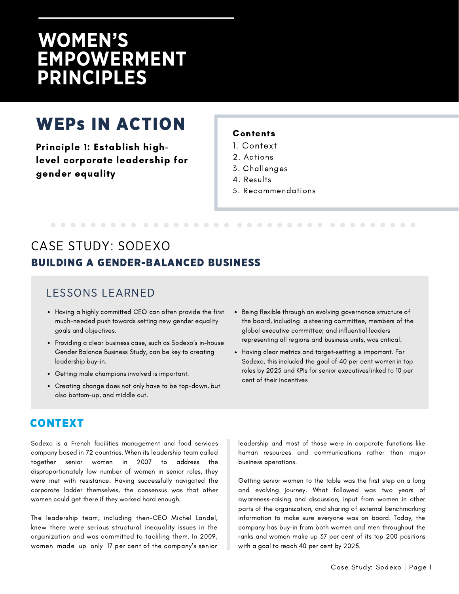# **WOMEN'S EMPOWERMENT PRINCIPLES**

# WEPs IN ACTION

Principle 1: Establish highlevel corporate leadership for gender equality

#### **Contents**

- 1. Context
- 2. Actions
- 3. Challenges
- 4. Results

5. Recommendations

## BUILDING A GENDER-BALANCED BUSINESS CASE STUDY: SODEXO

#### LESSONS LEARNED

- Having a highly committed CEO can often provide the first much-needed push towards setting new gender equality goals and objectives.
- Providing a clear business case, such as Sodexo's in-house Gender Balance Business Study, can be key to creating leadership buy-in.
- Getting male champions involved is important.
- Creating change does not only have to be top-down, but also bottom-up, and middle out.
- Being flexible through an evolving governance structure of the board, including a steering committee, members of the global executive committee; and influential leaders representing all regions and business units, was critical.
- Having clear metrics and target-setting is important. For Sodexo, this included the goal of 40 per cent women in top roles by 2025 and KPIs for senior executives linked to 10 per cent of their incentives

#### CONTEXT

Sodexo is a French facilities management and food services company based in 72 countries. When its leadership team called together senior women in 2007 to address the disproportionately low number of women in senior roles, they were met with resistance. Having successfully navigated the corporate ladder themselves, the consensus was that other women could get there if they worked hard enough.

The leadership team, including then-CEO Michel Landel, knew there were serious structural inequality issues in the organization and was committed to tackling them. In 2009, women made up only 17 per cent of the company's senior

leadership and most of those were in corporate functions like human resources and communications rather than major business operations.

Getting senior women to the table was the first step on a long and evolving journey. What followed was two years of awareness-raising and discussion, input from women in other parts of the organization, and sharing of external benchmarking information to make sure everyone was on board. Today, the company has buy-in from both women and men throughout the ranks and women make up 37 per cent of its top 200 positions with a goal to reach 40 per cent by 2025.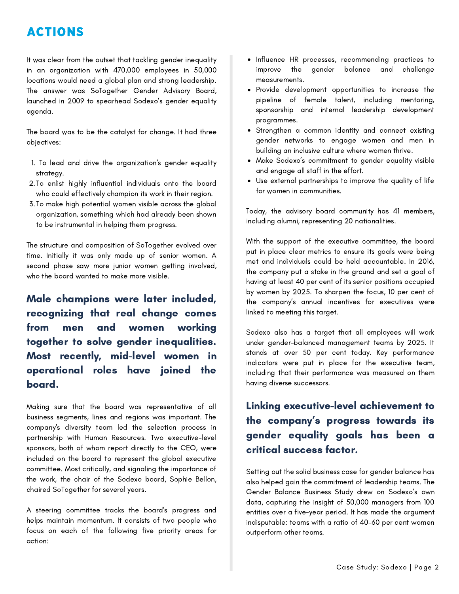## ACTIONS

It was clear from the outset that tackling gender inequality in an organization with 470,000 employees in 50,000 locations would need a global plan and strong leadership. The answer was SoTogether Gender Advisory Board, launched in 2009 to spearhead Sodexo's gender equality agenda.

The board was to be the catalyst for change. It had three objectives:

- 1. To lead and drive the organization's gender equality strategy.
- To enlist highly influential individuals onto the board 2. who could effectively champion its work in their region.
- 3.To make high potential women visible across the global organization, something which had already been shown to be instrumental in helping them progress.

The structure and composition of SoTogether evolved over time. Initially it was only made up of senior women. A second phase saw more junior women getting involved, who the board wanted to make more visible.

Male champions were later included, recognizing that real change comes from men and women working together to solve gender inequalities. Most recently, mid-level women in operational roles have joined the board.

Making sure that the board was representative of all business segments, lines and regions was important. The company's diversity team led the selection process in partnership with Human Resources. Two executive-level sponsors, both of whom report directly to the CEO, were included on the board to represent the global executive committee. Most critically, and signaling the importance of the work, the chair of the Sodexo board, Sophie Bellon, chaired SoTogether for several years.

A steering committee tracks the board's progress and helps maintain momentum. It consists of two people who focus on each of the following five priority areas for action:

- Influence HR processes, recommending practices to improve the gender balance and challenge measurements.
- Provide development opportunities to increase the pipeline of female talent, including mentoring, sponsorship and internal leadership development programmes.
- Strengthen a common identity and connect existing gender networks to engage women and men in building an inclusive culture where women thrive.
- Make Sodexo's commitment to gender equality visible and engage all staff in the effort.
- Use external partnerships to improve the quality of life for women in communities.

Today, the advisory board community has 41 members, including alumni, representing 20 nationalities.

With the support of the executive committee, the board put in place clear metrics to ensure its goals were being met and individuals could be held accountable. In 2016, the company put a stake in the ground and set a goal of having at least 40 per cent of its senior positions occupied by women by 2025. To sharpen the focus, 10 per cent of the company's annual incentives for executives were linked to meeting this target.

Sodexo also has a target that all employees will work under gender-balanced management teams by 2025. It stands at over 50 per cent today. Key performance indicators were put in place for the executive team, including that their performance was measured on them having diverse successors.

### Linking executive-level achievement to the company's progress towards its gender equality goals has been a critical success factor.

Setting out the solid business case for gender balance has also helped gain the commitment of leadership teams. The Gender Balance Business Study drew on Sodexo's own data, capturing the insight of 50,000 managers from 100 entities over a five-year period. It has made the argument indisputable: teams with a ratio of 40-60 per cent women outperform other teams.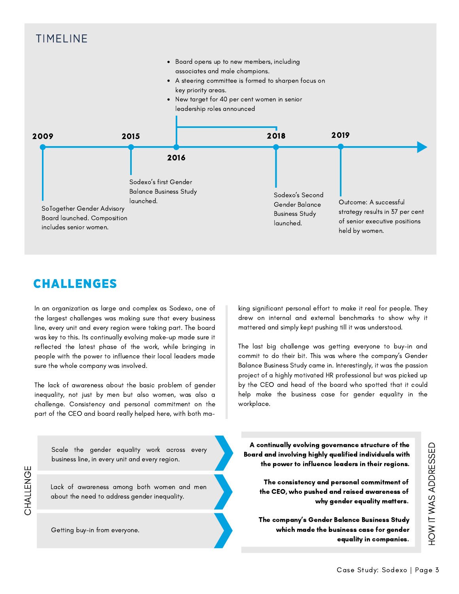

### CHALLENGES

In an organization as large and complex as Sodexo, one of the largest challenges was making sure that every business line, every unit and every region were taking part. The board was key to this. Its continually evolving make-up made sure it reflected the latest phase of the work, while bringing in people with the power to influence their local leaders made sure the whole company was involved.

The lack of awareness about the basic problem of gender inequality, not just by men but also women, was also a challenge. Consistency and personal commitment on the part of the CEO and board really helped here, with both making significant personal effort to make it real for people. They drew on internal and external benchmarks to show why it mattered and simply kept pushing till it was understood.

The last big challenge was getting everyone to buy-in and commit to do their bit. This was where the company's Gender Balance Business Study came in. Interestingly, it was the passion project of a highly motivated HR professional but was picked up by the CEO and head of the board who spotted that it could help make the business case for gender equality in the workplace.

Scale the gender equality work across every business line, in every unit and every region.

Lack of awareness among both women and men about the need to address gender inequality.

CHALLE NGE

Getting buy-in from everyone.

A continually evolving governance structure of the Board and involving highly qualified individuals with the power to influence leaders in their regions.

The consistency and personal commitment of the CEO, who pushed and raised awareness of why gender equality matters.

The company's Gender Balance Business Study which made the business case for gender equality in companies.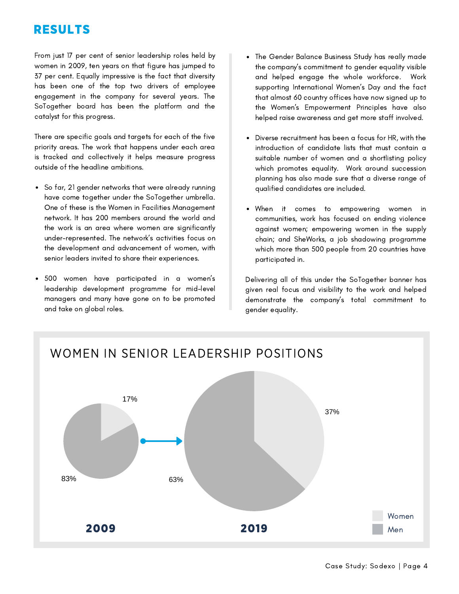## RESULTS

From just 17 per cent of senior leadership roles held by women in 2009, ten years on that figure has jumped to 37 per cent. Equally impressive is the fact that diversity has been one of the top two drivers of employee engagement in the company for several years. The SoTogether board has been the platform and the catalyst for this progress.

There are specific goals and targets for each of the five priority areas. The work that happens under each area is tracked and collectively it helps measure progress outside of the headline ambitions.

- So far, 21 gender networks that were already running have come together under the SoTogether umbrella. One of these is the Women in Facilities Management network. It has 200 members around the world and the work is an area where women are significantly under-represented. The network's activities focus on the development and advancement of women, with senior leaders invited to share their experiences.
- 500 women have participated in a women's leadership development programme for mid-level managers and many have gone on to be promoted and take on global roles.
- The Gender Balance Business Study has really made the company's commitment to gender equality visible and helped engage the whole workforce. Work supporting International Women's Day and the fact that almost 60 country offices have now signed up to the Women's Empowerment Principles have also helped raise awareness and get more staff involved.
- Diverse recruitment has been a focus for HR, with the introduction of candidate lists that must contain a suitable number of women and a shortlisting policy which promotes equality. Work around succession planning has also made sure that a diverse range of qualified candidates are included.
- When it comes to empowering women in communities, work has focused on ending violence against women; empowering women in the supply chain; and SheWorks, a job shadowing programme which more than 500 people from 20 countries have participated in.

Delivering all of this under the SoTogether banner has given real focus and visibility to the work and helped demonstrate the company's total commitment to gender equality.

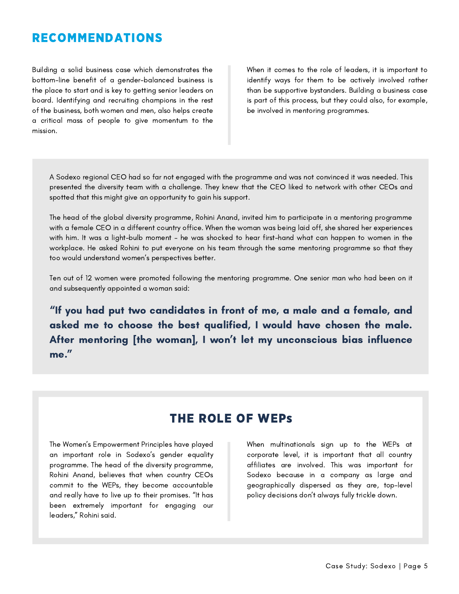#### RECOMMENDATIONS

Building a solid business case which demonstrates the bottom-line benefit of a gender-balanced business is the place to start and is key to getting senior leaders on board. Identifying and recruiting champions in the rest of the business, both women and men, also helps create a critical mass of people to give momentum to the mission.

When it comes to the role of leaders, it is important to identify ways for them to be actively involved rather than be supportive bystanders. Building a business case is part of this process, but they could also, for example, be involved in mentoring programmes.

A Sodexo regional CEO had so far not engaged with the programme and was not convinced it was needed. This presented the diversity team with a challenge. They knew that the CEO liked to network with other CEOs and spotted that this might give an opportunity to gain his support.

The head of the global diversity programme, Rohini Anand, invited him to participate in a mentoring programme with a female CEO in a different country office. When the woman was being laid off, she shared her experiences with him. It was a light-bulb moment – he was shocked to hear first-hand what can happen to women in the workplace. He asked Rohini to put everyone on his team through the same mentoring programme so that they too would understand women's perspectives better.

Ten out of 12 women were promoted following the mentoring programme. One senior man who had been on it and subsequently appointed a woman said:

"If you had put two candidates in front of me, a male and a female, and asked me to choose the best qualified, I would have chosen the male. After mentoring [the woman], I won't let my unconscious bias influence me."

#### THE ROLE OF WEPs

The Women's Empowerment Principles have played an important role in Sodexo's gender equality programme. The head of the diversity programme, Rohini Anand, believes that when country CEOs commit to the WEPs, they become accountable and really have to live up to their promises. "It has been extremely important for engaging our leaders," Rohini said.

When multinationals sign up to the WEPs at corporate level, it is important that all country affiliates are involved. This was important for Sodexo because in a company as large and geographically dispersed as they are, top-level policy decisions don't always fully trickle down.